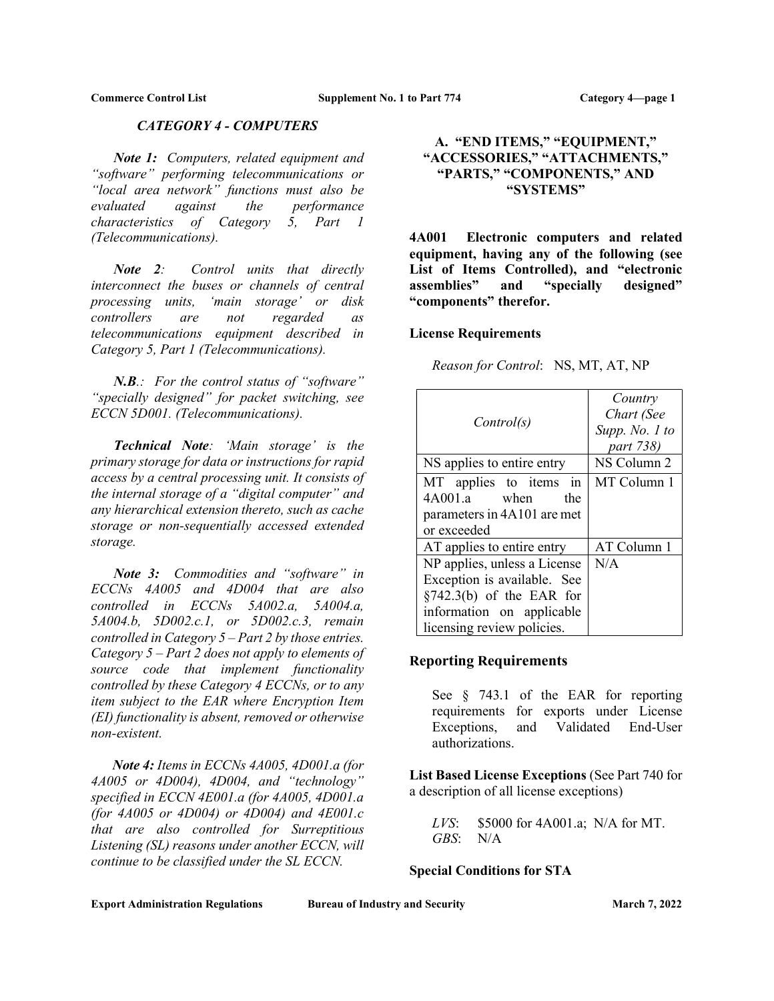## CATEGORY 4 - COMPUTERS

Note 1: Computers, related equipment and "software" performing telecommunications or "local area network" functions must also be evaluated against the performance characteristics of Category 5, Part 1 (Telecommunications).

Note 2: Control units that directly interconnect the buses or channels of central processing units, 'main storage' or disk controllers are not regarded as telecommunications equipment described in Category 5, Part 1 (Telecommunications).

 $N.B.:$  For the control status of "software" "specially designed" for packet switching, see ECCN 5D001. (Telecommunications).

Technical Note: 'Main storage' is the primary storage for data or instructions for rapid access by a central processing unit. It consists of the internal storage of a "digital computer" and any hierarchical extension thereto, such as cache storage or non-sequentially accessed extended storage.

Note 3: Commodities and "software" in ECCNs 4A005 and 4D004 that are also controlled in ECCNs 5A002.a, 5A004.a, 5A004.b, 5D002.c.1, or 5D002.c.3, remain controlled in Category  $5 - Part 2$  by those entries. Category  $5$  – Part 2 does not apply to elements of source code that implement functionality controlled by these Category 4 ECCNs, or to any item subject to the EAR where Encryption Item (EI) functionality is absent, removed or otherwise non-existent.

 Note 4: Items in ECCNs 4A005, 4D001.a (for 4A005 or 4D004), 4D004, and "technology" specified in ECCN 4E001.a (for 4A005, 4D001.a (for 4A005 or 4D004) or 4D004) and 4E001.c that are also controlled for Surreptitious Listening (SL) reasons under another ECCN, will continue to be classified under the SL ECCN.

# A. "END ITEMS," "EQUIPMENT," "ACCESSORIES," "ATTACHMENTS," "PARTS," "COMPONENTS," AND "SYSTEMS"

4A001 Electronic computers and related equipment, having any of the following (see List of Items Controlled), and "electronic assemblies" and "specially designed" "components" therefor.

# License Requirements

Reason for Control: NS, MT, AT, NP

| Control(s)                                                                                                                                             | Country<br>Chart (See<br>Supp. No. 1 to<br>part 738) |
|--------------------------------------------------------------------------------------------------------------------------------------------------------|------------------------------------------------------|
| NS applies to entire entry                                                                                                                             | NS Column 2                                          |
| MT applies to items in<br>4A001.a when<br>the<br>parameters in 4A101 are met<br>or exceeded                                                            | MT Column 1                                          |
| AT applies to entire entry                                                                                                                             | AT Column 1                                          |
| NP applies, unless a License<br>Exception is available. See<br>$\S$ 742.3(b) of the EAR for<br>information on applicable<br>licensing review policies. | N/A                                                  |

# Reporting Requirements

See § 743.1 of the EAR for reporting requirements for exports under License Exceptions, and Validated End-User authorizations.

List Based License Exceptions (See Part 740 for a description of all license exceptions)

LVS: \$5000 for 4A001.a; N/A for MT. GBS: N/A

# Special Conditions for STA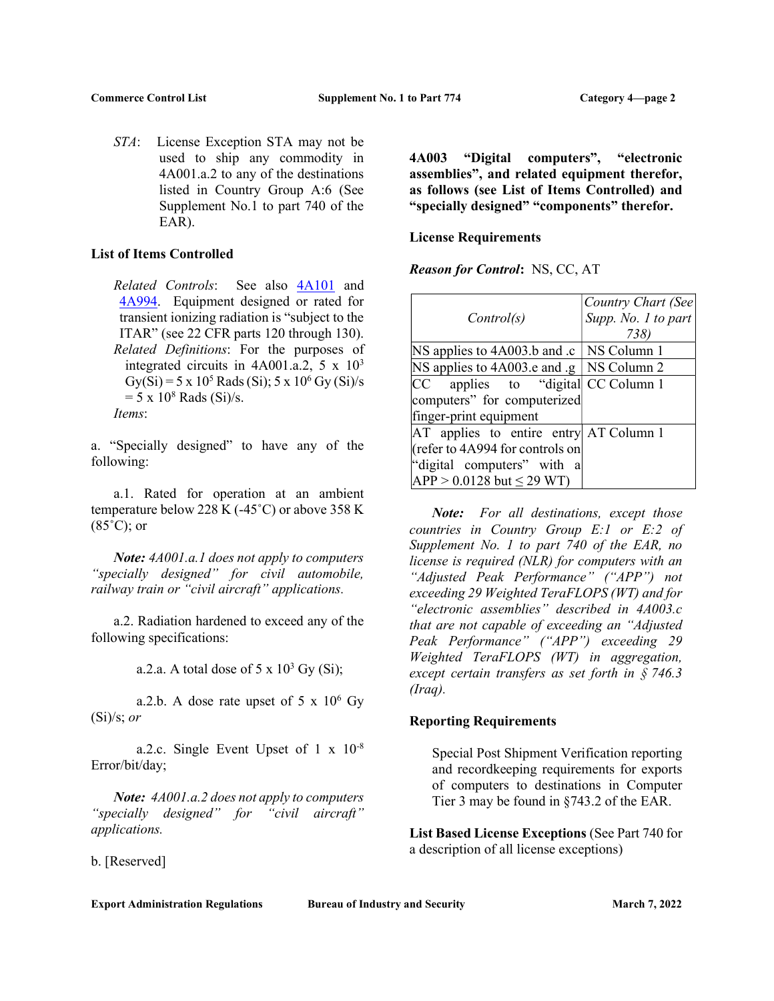STA: License Exception STA may not be used to ship any commodity in 4A001.a.2 to any of the destinations listed in Country Group A:6 (See Supplement No.1 to part 740 of the EAR).

## List of Items Controlled

Related Controls: See also 4A101 and 4A994. Equipment designed or rated for transient ionizing radiation is "subject to the ITAR" (see 22 CFR parts 120 through 130). Related Definitions: For the purposes of integrated circuits in  $4A001.a.2$ ,  $5 \times 10^3$  $Gy(Si) = 5 \times 10^5$  Rads (Si);  $5 \times 10^6$  Gy (Si)/s  $= 5 \times 10^8$  Rads (Si)/s. Items:

a. "Specially designed" to have any of the following:

 a.1. Rated for operation at an ambient temperature below 228 K (-45˚C) or above 358 K  $(85^{\circ}C)$ ; or

Note:  $4A001.a.1$  does not apply to computers "specially designed" for civil automobile, railway train or "civil aircraft" applications.

 a.2. Radiation hardened to exceed any of the following specifications:

a.2.a. A total dose of  $5 \times 10^3$  Gy (Si);

a.2.b. A dose rate upset of  $5 \times 10^6$  Gy  $(Si)/s$ ; *or* 

 a.2.c. Single Event Upset of 1 x 10-8 Error/bit/day;

Note:  $4A001.a.2$  does not apply to computers "specially designed" for "civil aircraft" applications.

b. [Reserved]

4A003 "Digital computers", "electronic assemblies", and related equipment therefor, as follows (see List of Items Controlled) and "specially designed" "components" therefor.

## License Requirements

Reason for Control: NS, CC, AT

|                                                | Country Chart (See  |
|------------------------------------------------|---------------------|
| Control(s)                                     | Supp. No. 1 to part |
|                                                | 738)                |
| NS applies to 4A003.b and .c   NS Column 1     |                     |
| NS applies to 4A003.e and $g \mid NS$ Column 2 |                     |
| CC applies to "digital CC Column 1             |                     |
| computers" for computerized                    |                     |
| finger-print equipment                         |                     |
| AT applies to entire entry AT Column 1         |                     |
| (refer to 4A994 for controls on                |                     |
| "digital computers" with a                     |                     |
| $APP > 0.0128$ but $\leq 29$ WT)               |                     |

 Note: For all destinations, except those countries in Country Group E:1 or E:2 of Supplement No. 1 to part 740 of the EAR, no license is required (NLR) for computers with an "Adjusted Peak Performance" ("APP") not exceeding 29 Weighted TeraFLOPS (WT) and for "electronic assemblies" described in 4A003.c that are not capable of exceeding an "Adjusted Peak Performance" ("APP") exceeding 29 Weighted TeraFLOPS (WT) in aggregation, except certain transfers as set forth in § 746.3 (Iraq).

#### Reporting Requirements

Special Post Shipment Verification reporting and recordkeeping requirements for exports of computers to destinations in Computer Tier 3 may be found in §743.2 of the EAR.

List Based License Exceptions (See Part 740 for a description of all license exceptions)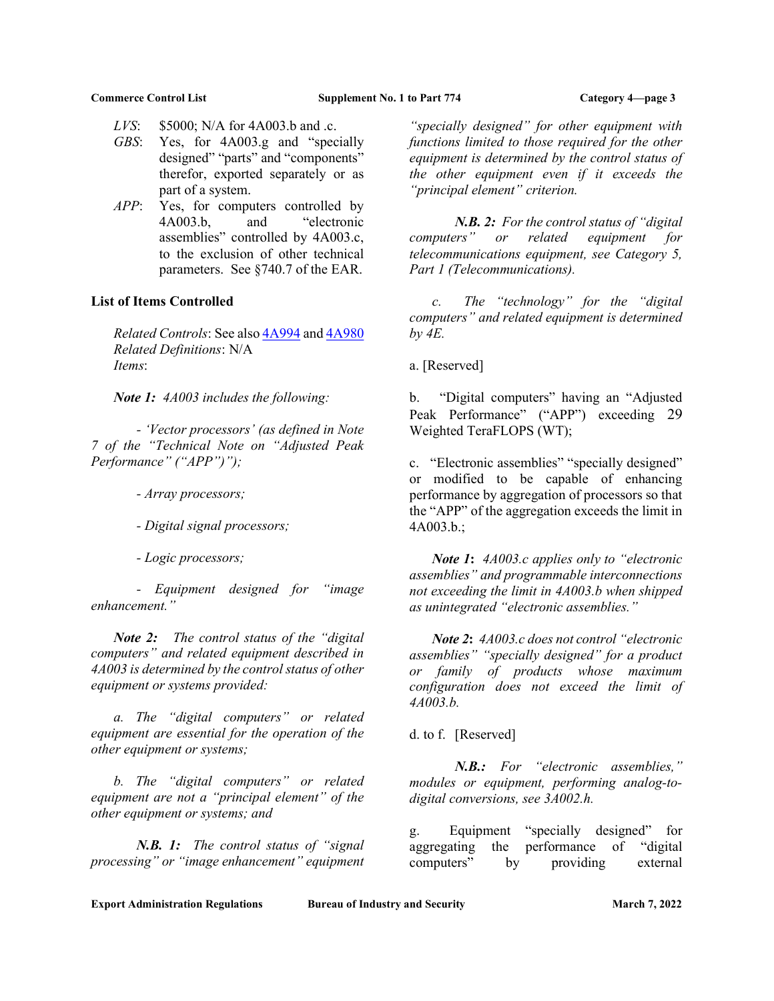- LVS: \$5000; N/A for 4A003.b and .c.
- GBS: Yes, for 4A003.g and "specially designed" "parts" and "components" therefor, exported separately or as part of a system.
- APP: Yes, for computers controlled by 4A003.b, and "electronic assemblies" controlled by 4A003.c, to the exclusion of other technical parameters. See §740.7 of the EAR.

#### List of Items Controlled

Related Controls: See also 4A994 and 4A980 Related Definitions: N/A Items:

Note 1: 4A003 includes the following:

 - 'Vector processors' (as defined in Note 7 of the "Technical Note on "Adjusted Peak Performance" ("APP")");

- Array processors;

- Digital signal processors;

- Logic processors;

 - Equipment designed for "image enhancement."

Note 2: The control status of the "digital" computers" and related equipment described in 4A003 is determined by the control status of other equipment or systems provided:

 a. The "digital computers" or related equipment are essential for the operation of the other equipment or systems;

 b. The "digital computers" or related equipment are not a "principal element" of the other equipment or systems; and

N.B. 1: The control status of "signal" processing" or "image enhancement" equipment

"specially designed" for other equipment with functions limited to those required for the other equipment is determined by the control status of the other equipment even if it exceeds the "principal element" criterion.

N.B. 2: For the control status of "digital computers" or related equipment for telecommunications equipment, see Category 5, Part 1 (Telecommunications).

 c. The "technology" for the "digital computers" and related equipment is determined by 4E.

a. [Reserved]

b. "Digital computers" having an "Adjusted Peak Performance" ("APP") exceeding 29 Weighted TeraFLOPS (WT);

c. "Electronic assemblies" "specially designed" or modified to be capable of enhancing performance by aggregation of processors so that the "APP" of the aggregation exceeds the limit in 4A003.b.;

Note 1:  $4A003.c$  applies only to "electronic" assemblies" and programmable interconnections not exceeding the limit in 4A003.b when shipped as unintegrated "electronic assemblies."

 Note 2: 4A003.c does not control "electronic assemblies" "specially designed" for a product or family of products whose maximum configuration does not exceed the limit of 4A003.b.

d. to f. [Reserved]

 N.B.: For "electronic assemblies," modules or equipment, performing analog-todigital conversions, see 3A002.h.

g. Equipment "specially designed" for aggregating the performance of "digital computers" by providing external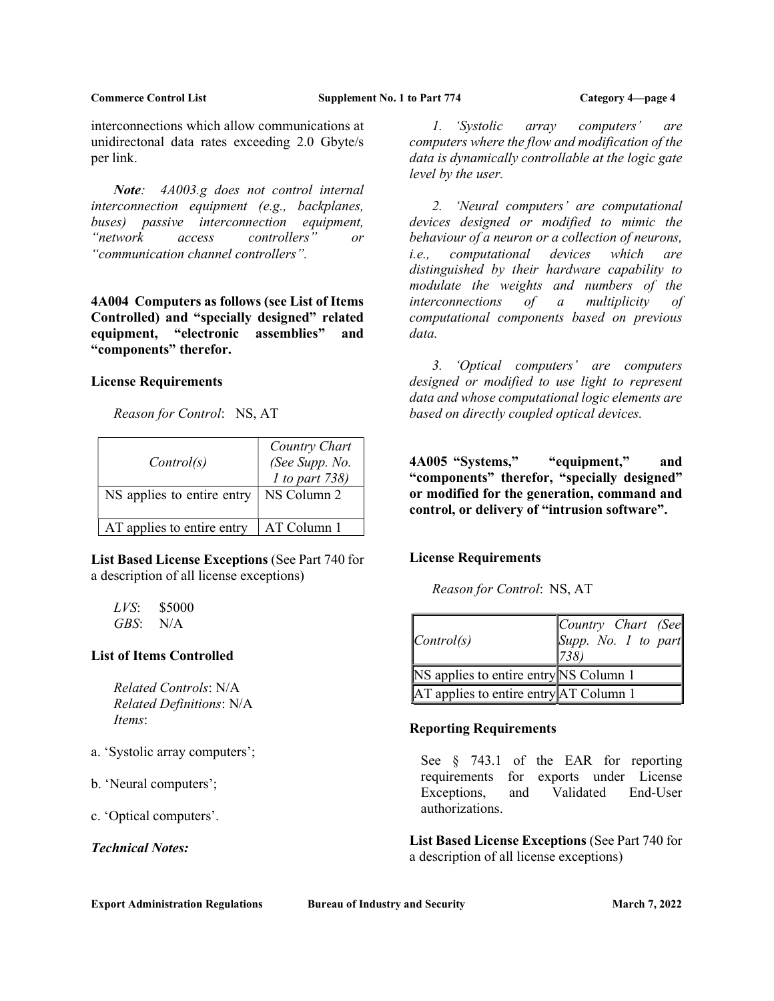interconnections which allow communications at unidirectonal data rates exceeding 2.0 Gbyte/s per link.

Note: 4A003.g does not control internal interconnection equipment (e.g., backplanes, buses) passive interconnection equipment, "network access controllers" or "communication channel controllers".

4A004 Computers as follows (see List of Items Controlled) and "specially designed" related equipment, "electronic assemblies" and "components" therefor.

#### License Requirements

Reason for Control: NS, AT

| Control(s)<br>NS applies to entire entry | Country Chart<br>(See Supp. No.<br>$1$ to part 738)<br>NS Column 2 |
|------------------------------------------|--------------------------------------------------------------------|
| AT applies to entire entry               | AT Column 1                                                        |

List Based License Exceptions (See Part 740 for a description of all license exceptions)

 $LVS:$  \$5000 GBS: N/A

## List of Items Controlled

Related Controls: N/A Related Definitions: N/A Items:

- a. 'Systolic array computers';
- b. 'Neural computers';

c. 'Optical computers'.

Technical Notes:

Export Administration Regulations Bureau of Industry and Security March 7, 2022

1. 'Systolic array computers' are computers where the flow and modification of the data is dynamically controllable at the logic gate level by the user.

 2. 'Neural computers' are computational devices designed or modified to mimic the behaviour of a neuron or a collection of neurons, i.e., computational devices which are distinguished by their hardware capability to modulate the weights and numbers of the interconnections of a multiplicity of computational components based on previous data.

 3. 'Optical computers' are computers designed or modified to use light to represent data and whose computational logic elements are based on directly coupled optical devices.

4A005 "Systems," "equipment," and "components" therefor, "specially designed" or modified for the generation, command and control, or delivery of "intrusion software".

## License Requirements

Reason for Control: NS, AT

| $\lfloor Control(s)\rfloor$            | Country Chart (See<br>Supp. No. 1 to part<br>$ 738\rangle$ |
|----------------------------------------|------------------------------------------------------------|
| NS applies to entire entry NS Column 1 |                                                            |
| AT applies to entire entry AT Column 1 |                                                            |

## Reporting Requirements

See  $\frac{1}{2}$  743.1 of the EAR for reporting requirements for exports under License Exceptions, and Validated End-User authorizations.

List Based License Exceptions (See Part 740 for a description of all license exceptions)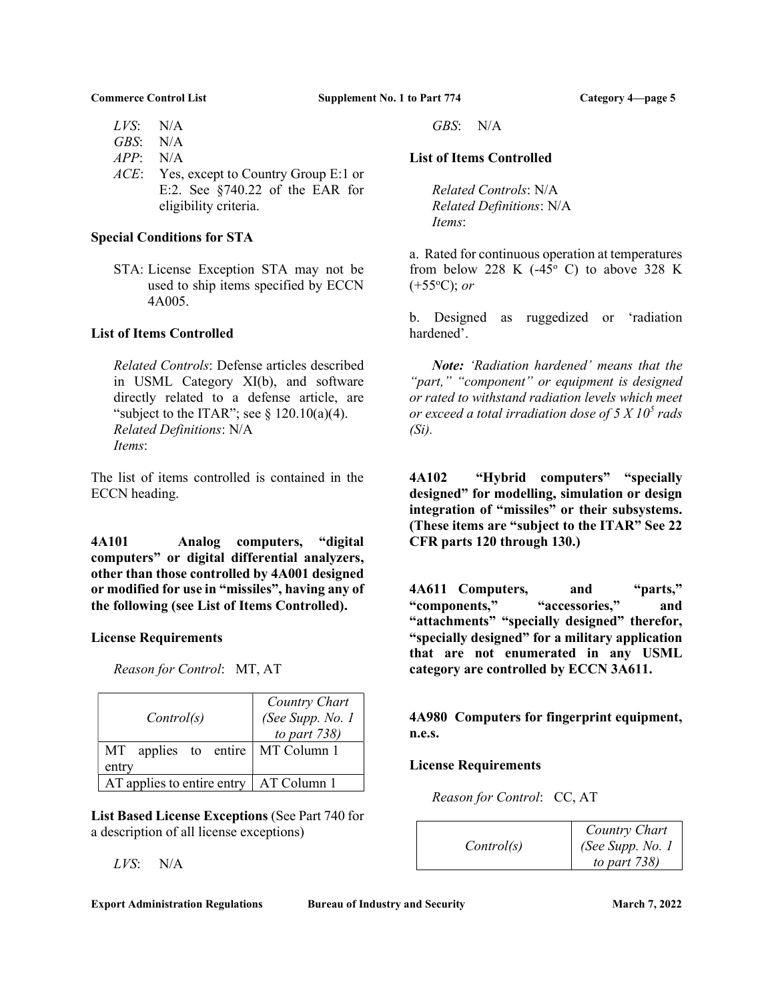- LVS: N/A
- GBS: N/A
- $APP: N/A$
- ACE: Yes, except to Country Group E:1 or E:2. See §740.22 of the EAR for eligibility criteria.

## Special Conditions for STA

STA: License Exception STA may not be used to ship items specified by ECCN 4A005.

## List of Items Controlled

Related Controls: Defense articles described in USML Category XI(b), and software directly related to a defense article, are "subject to the ITAR"; see  $\S 120.10(a)(4)$ . Related Definitions: N/A Items:

The list of items controlled is contained in the ECCN heading.

4A101 Analog computers, "digital computers" or digital differential analyzers, other than those controlled by 4A001 designed or modified for use in "missiles", having any of the following (see List of Items Controlled).

## License Requirements

Reason for Control: MT, AT

| Control(s)                             | Country Chart<br>(See Supp. No. 1<br>to part $738$ ) |
|----------------------------------------|------------------------------------------------------|
| applies to entire   MT Column 1<br>MT. |                                                      |
| entry                                  |                                                      |
| AT applies to entire entry             | AT Column 1                                          |

List Based License Exceptions (See Part 740 for a description of all license exceptions)

LVS: N/A

#### Export Administration Regulations Bureau of Industry and Security March 7, 2022

GBS: N/A

## List of Items Controlled

Related Controls: N/A Related Definitions: N/A Items:

a. Rated for continuous operation at temperatures from below 228 K  $(-45^{\circ} \text{ C})$  to above 328 K  $(+55°C)$ ; or

b. Designed as ruggedized or 'radiation hardened'.

Note: 'Radiation hardened' means that the "part," "component" or equipment is designed or rated to withstand radiation levels which meet or exceed a total irradiation dose of 5 X 10<sup>5</sup> rads  $(S_i)$ .

4A102 "Hybrid computers" "specially designed" for modelling, simulation or design integration of "missiles" or their subsystems. (These items are "subject to the ITAR" See 22 CFR parts 120 through 130.)

4A611 Computers, and "parts," "components," "accessories," and "attachments" "specially designed" therefor, "specially designed" for a military application that are not enumerated in any USML category are controlled by ECCN 3A611.

4A980 Computers for fingerprint equipment, n.e.s.

## License Requirements

Reason for Control: CC, AT

| Control(s) | Country Chart                       |
|------------|-------------------------------------|
|            | (See Supp. No. 1<br>to part $738$ ) |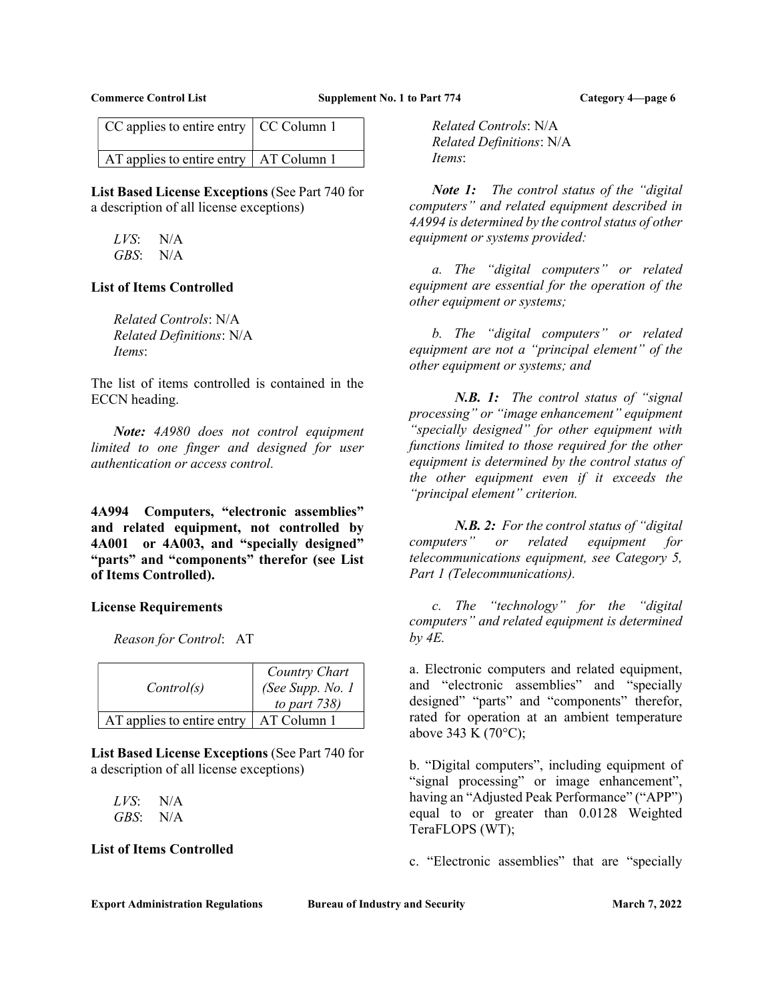| $CC$ applies to entire entry $\vert CC$ Column 1 |  |
|--------------------------------------------------|--|
| $AT$ applies to entire entry $AT$ Column 1       |  |

List Based License Exceptions (See Part 740 for a description of all license exceptions)

LVS: N/A GBS: N/A

#### List of Items Controlled

Related Controls: N/A Related Definitions: N/A Items:

The list of items controlled is contained in the ECCN heading.

 Note: 4A980 does not control equipment limited to one finger and designed for user authentication or access control.

4A994 Computers, "electronic assemblies" and related equipment, not controlled by 4A001 or 4A003, and "specially designed" "parts" and "components" therefor (see List of Items Controlled).

## License Requirements

Reason for Control: AT

| Control(s)                 | Country Chart<br>(See Supp. No. 1<br>to part $738$ ) |
|----------------------------|------------------------------------------------------|
| AT applies to entire entry | AT Column 1                                          |

List Based License Exceptions (See Part 740 for a description of all license exceptions)

LVS: N/A GBS: N/A

## List of Items Controlled

Related Controls: N/A Related Definitions: N/A Items:

Note 1: The control status of the "digital" computers" and related equipment described in 4A994 is determined by the control status of other equipment or systems provided:

 a. The "digital computers" or related equipment are essential for the operation of the other equipment or systems;

 b. The "digital computers" or related equipment are not a "principal element" of the other equipment or systems; and

N.B. 1: The control status of "signal" processing" or "image enhancement" equipment "specially designed" for other equipment with functions limited to those required for the other equipment is determined by the control status of the other equipment even if it exceeds the "principal element" criterion.

N.B. 2: For the control status of "digital" computers" or related equipment for telecommunications equipment, see Category 5, Part 1 (Telecommunications).

 c. The "technology" for the "digital computers" and related equipment is determined by 4E.

a. Electronic computers and related equipment, and "electronic assemblies" and "specially designed" "parts" and "components" therefor, rated for operation at an ambient temperature above 343 K (70°C);

b. "Digital computers", including equipment of "signal processing" or image enhancement", having an "Adjusted Peak Performance" ("APP") equal to or greater than 0.0128 Weighted TeraFLOPS (WT);

c. "Electronic assemblies" that are "specially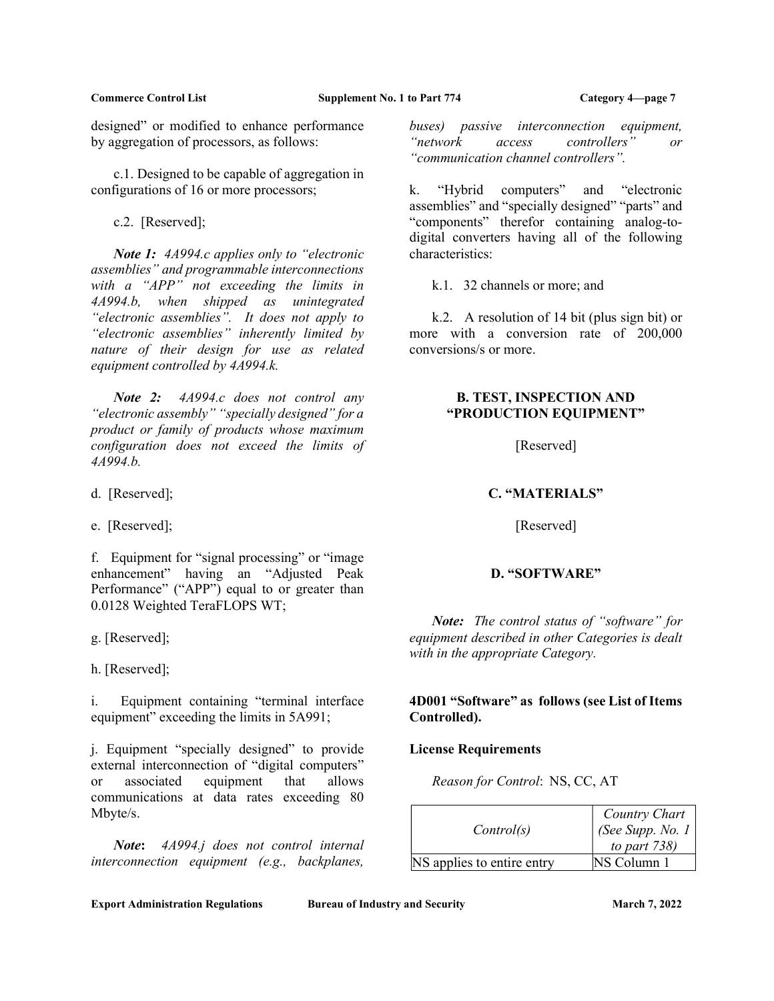designed" or modified to enhance performance by aggregation of processors, as follows:

 c.1. Designed to be capable of aggregation in configurations of 16 or more processors;

c.2. [Reserved];

Note 1: 4A994.c applies only to "electronic" assemblies" and programmable interconnections with a "APP" not exceeding the limits in 4A994.b, when shipped as unintegrated "electronic assemblies". It does not apply to "electronic assemblies" inherently limited by nature of their design for use as related equipment controlled by 4A994.k.

Note 2: 4A994.c does not control any "electronic assembly" "specially designed" for a product or family of products whose maximum configuration does not exceed the limits of 4A994.b.

d. [Reserved];

e. [Reserved];

f. Equipment for "signal processing" or "image enhancement" having an "Adjusted Peak Performance" ("APP") equal to or greater than 0.0128 Weighted TeraFLOPS WT;

g. [Reserved];

h. [Reserved];

i. Equipment containing "terminal interface equipment" exceeding the limits in 5A991;

j. Equipment "specially designed" to provide external interconnection of "digital computers" or associated equipment that allows communications at data rates exceeding 80 Mbyte/s.

Note: 4A994.j does not control internal interconnection equipment (e.g., backplanes,

buses) passive interconnection equipment, "network access controllers" or "communication channel controllers".

k. "Hybrid computers" and "electronic assemblies" and "specially designed" "parts" and "components" therefor containing analog-todigital converters having all of the following characteristics:

k.1. 32 channels or more; and

 k.2. A resolution of 14 bit (plus sign bit) or more with a conversion rate of 200,000 conversions/s or more.

## B. TEST, INSPECTION AND "PRODUCTION EQUIPMENT"

[Reserved]

# C. "MATERIALS"

[Reserved]

# D. "SOFTWARE"

Note: The control status of "software" for equipment described in other Categories is dealt with in the appropriate Category.

# 4D001 "Software" as follows (see List of Items Controlled).

## License Requirements

Reason for Control: NS, CC, AT

| Control(s)                 | Country Chart<br>(See Supp. No. $1$ )<br>to part $738$ ) |
|----------------------------|----------------------------------------------------------|
| NS applies to entire entry | NS Column 1                                              |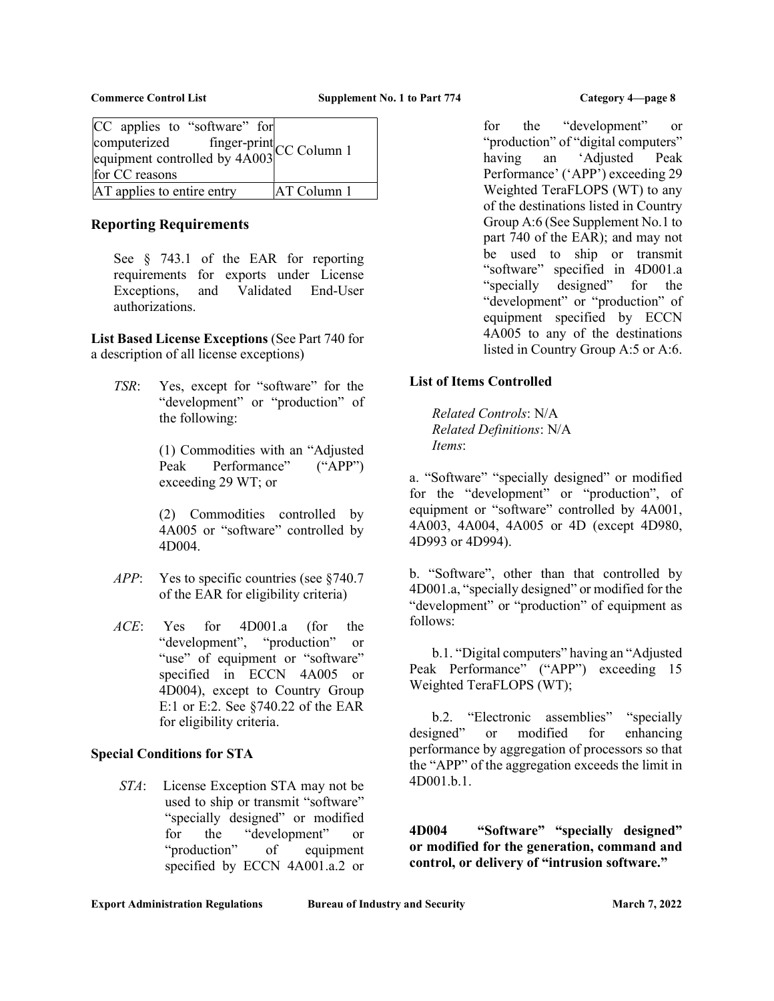| CC applies to "software" for                                           |             |
|------------------------------------------------------------------------|-------------|
|                                                                        |             |
| computerized finger-print<br>equipment controlled by 4A003 CC Column 1 |             |
| for CC reasons                                                         |             |
| AT applies to entire entry                                             | AT Column 1 |

# Reporting Requirements

See § 743.1 of the EAR for reporting requirements for exports under License Exceptions, and Validated End-User authorizations.

List Based License Exceptions (See Part 740 for a description of all license exceptions)

TSR: Yes, except for "software" for the "development" or "production" of the following:

> (1) Commodities with an "Adjusted Peak Performance" ("APP") exceeding 29 WT; or

> (2) Commodities controlled by 4A005 or "software" controlled by 4D004.

- APP: Yes to specific countries (see §740.7) of the EAR for eligibility criteria)
- ACE: Yes for 4D001.a (for the "development", "production" or "use" of equipment or "software" specified in ECCN 4A005 or 4D004), except to Country Group E:1 or E:2. See §740.22 of the EAR for eligibility criteria.

# Special Conditions for STA

STA: License Exception STA may not be used to ship or transmit "software" "specially designed" or modified for the "development" or "production" of equipment specified by ECCN 4A001.a.2 or

for the "development" or "production" of "digital computers" having an 'Adjusted Peak Performance' ('APP') exceeding 29 Weighted TeraFLOPS (WT) to any of the destinations listed in Country Group A:6 (See Supplement No.1 to part 740 of the EAR); and may not be used to ship or transmit "software" specified in 4D001.a "specially designed" for the "development" or "production" of equipment specified by ECCN 4A005 to any of the destinations listed in Country Group A:5 or A:6.

# List of Items Controlled

Related Controls: N/A Related Definitions: N/A Items:

a. "Software" "specially designed" or modified for the "development" or "production", of equipment or "software" controlled by 4A001, 4A003, 4A004, 4A005 or 4D (except 4D980, 4D993 or 4D994).

b. "Software", other than that controlled by 4D001.a, "specially designed" or modified for the "development" or "production" of equipment as follows:

 b.1. "Digital computers" having an "Adjusted Peak Performance" ("APP") exceeding 15 Weighted TeraFLOPS (WT);

b.2. "Electronic assemblies" "specially<br>designed" or modified for enhancing or modified for enhancing performance by aggregation of processors so that the "APP" of the aggregation exceeds the limit in 4D001.b.1.

4D004 "Software" "specially designed" or modified for the generation, command and control, or delivery of "intrusion software."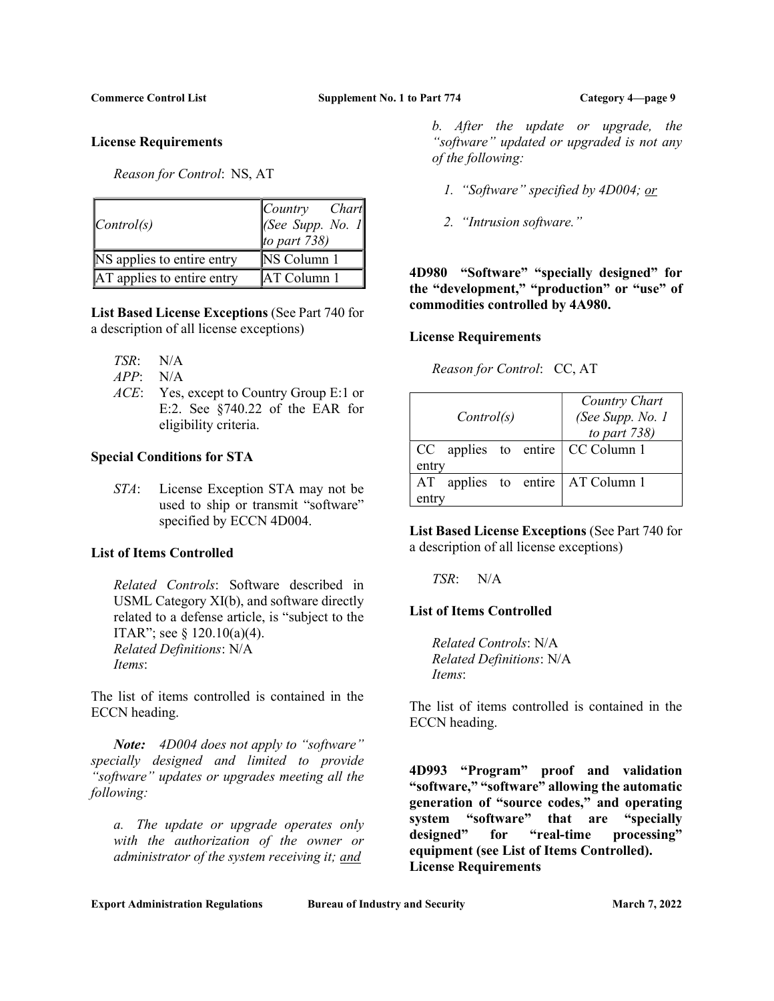#### License Requirements

Reason for Control: NS, AT

| $\vert Control(s)$         | $\sqrt{\frac{1}{2}}$<br>Chart<br>$[See \; Supp. \; No. \; 1]$<br>to part $738$ ) |
|----------------------------|----------------------------------------------------------------------------------|
| NS applies to entire entry | NS Column 1                                                                      |
| AT applies to entire entry | <b>AT Column 1</b>                                                               |

List Based License Exceptions (See Part 740 for a description of all license exceptions)

- TSR: N/A
- APP: N/A
- ACE: Yes, except to Country Group E:1 or E:2. See §740.22 of the EAR for eligibility criteria.

## Special Conditions for STA

STA: License Exception STA may not be used to ship or transmit "software" specified by ECCN 4D004.

## List of Items Controlled

Related Controls: Software described in USML Category XI(b), and software directly related to a defense article, is "subject to the ITAR"; see  $\S$  120.10(a)(4). Related Definitions: N/A Items:

The list of items controlled is contained in the ECCN heading.

Note: 4D004 does not apply to "software" specially designed and limited to provide "software" updates or upgrades meeting all the following:

a. The update or upgrade operates only with the authorization of the owner or administrator of the system receiving it; and

b. After the update or upgrade, the "software" updated or upgraded is not any of the following:

- 1. "Software" specified by 4D004; or
- 2. "Intrusion software."

4D980 "Software" "specially designed" for the "development," "production" or "use" of commodities controlled by 4A980.

## License Requirements

Reason for Control: CC, AT

|       | Control(s) |  | Country Chart<br>(See Supp. No. 1<br>to part $738$ ) |
|-------|------------|--|------------------------------------------------------|
|       |            |  | $CC$ applies to entire $\vert$ CC Column 1           |
| entry |            |  |                                                      |
| AT    |            |  | applies to entire   AT Column 1                      |
|       |            |  |                                                      |

List Based License Exceptions (See Part 740 for a description of all license exceptions)

TSR: N/A

# List of Items Controlled

Related Controls: N/A Related Definitions: N/A Items:

The list of items controlled is contained in the ECCN heading.

4D993 "Program" proof and validation "software," "software" allowing the automatic generation of "source codes," and operating system "software" that are "specially designed" for "real-time processing" equipment (see List of Items Controlled). License Requirements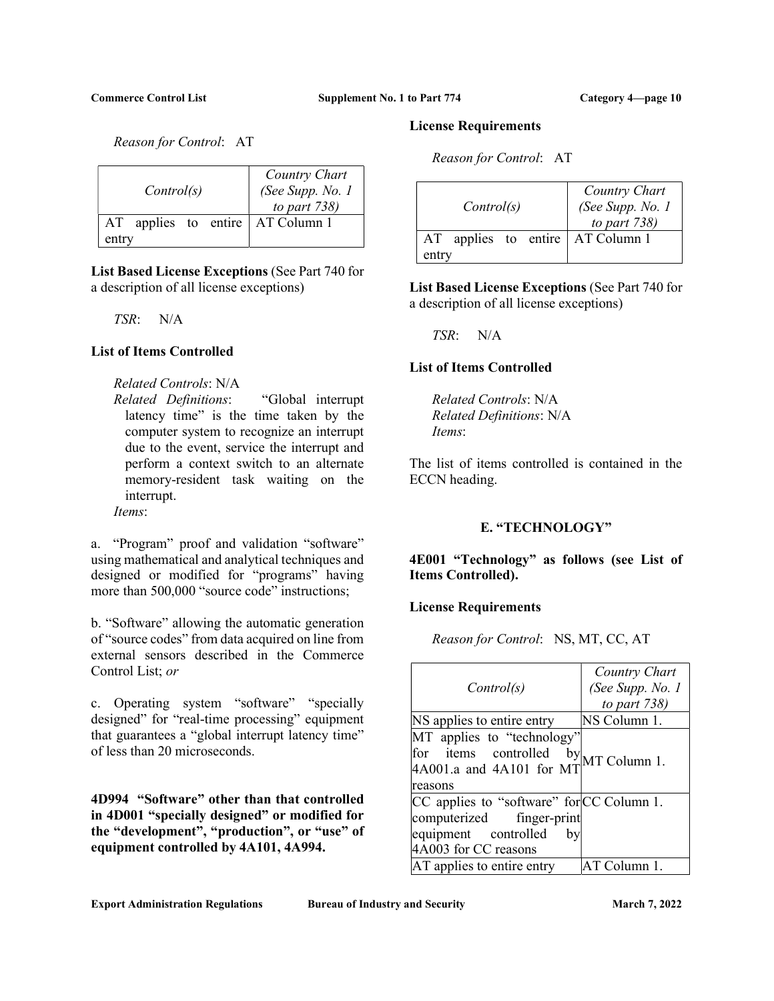Reason for Control: AT

|       | Control(s) |  |  | Country Chart<br>(See Supp. No. 1<br>to part $738$ ) |
|-------|------------|--|--|------------------------------------------------------|
| AT    |            |  |  | applies to entire   AT Column 1                      |
| entry |            |  |  |                                                      |

List Based License Exceptions (See Part 740 for a description of all license exceptions)

TSR: N/A

# List of Items Controlled

## Related Controls: N/A

Related Definitions: "Global interrupt latency time" is the time taken by the computer system to recognize an interrupt due to the event, service the interrupt and perform a context switch to an alternate memory-resident task waiting on the interrupt.

Items:

a. "Program" proof and validation "software" using mathematical and analytical techniques and designed or modified for "programs" having more than 500,000 "source code" instructions;

b. "Software" allowing the automatic generation of "source codes" from data acquired on line from external sensors described in the Commerce Control List; or

c. Operating system "software" "specially designed" for "real-time processing" equipment that guarantees a "global interrupt latency time" of less than 20 microseconds.

4D994 "Software" other than that controlled in 4D001 "specially designed" or modified for the "development", "production", or "use" of equipment controlled by 4A101, 4A994.

## License Requirements

Reason for Control: AT

|       | Control(s) |  |  | Country Chart<br>(See Supp. No. 1<br>to part $738$ ) |
|-------|------------|--|--|------------------------------------------------------|
| AT    |            |  |  | applies to entire   AT Column 1                      |
| entry |            |  |  |                                                      |

List Based License Exceptions (See Part 740 for a description of all license exceptions)

TSR: N/A

# List of Items Controlled

Related Controls: N/A Related Definitions: N/A Items:

The list of items controlled is contained in the ECCN heading.

# E. "TECHNOLOGY"

4E001 "Technology" as follows (see List of Items Controlled).

## License Requirements

Reason for Control: NS, MT, CC, AT

| Control(s)                                                                                                                   | Country Chart<br>(See Supp. No. 1 |
|------------------------------------------------------------------------------------------------------------------------------|-----------------------------------|
|                                                                                                                              | to part $738$ )                   |
| NS applies to entire entry                                                                                                   | NS Column 1.                      |
| MT applies to "technology"<br>for items controlled<br>by<br>4A001.a and 4A101 for MT<br>reasons                              | MT Column 1.                      |
| CC applies to "software" for CC Column 1.<br>computerized finger-print<br>equipment controlled<br>bv<br>4A003 for CC reasons |                                   |
| AT applies to entire entry                                                                                                   | AT Column 1.                      |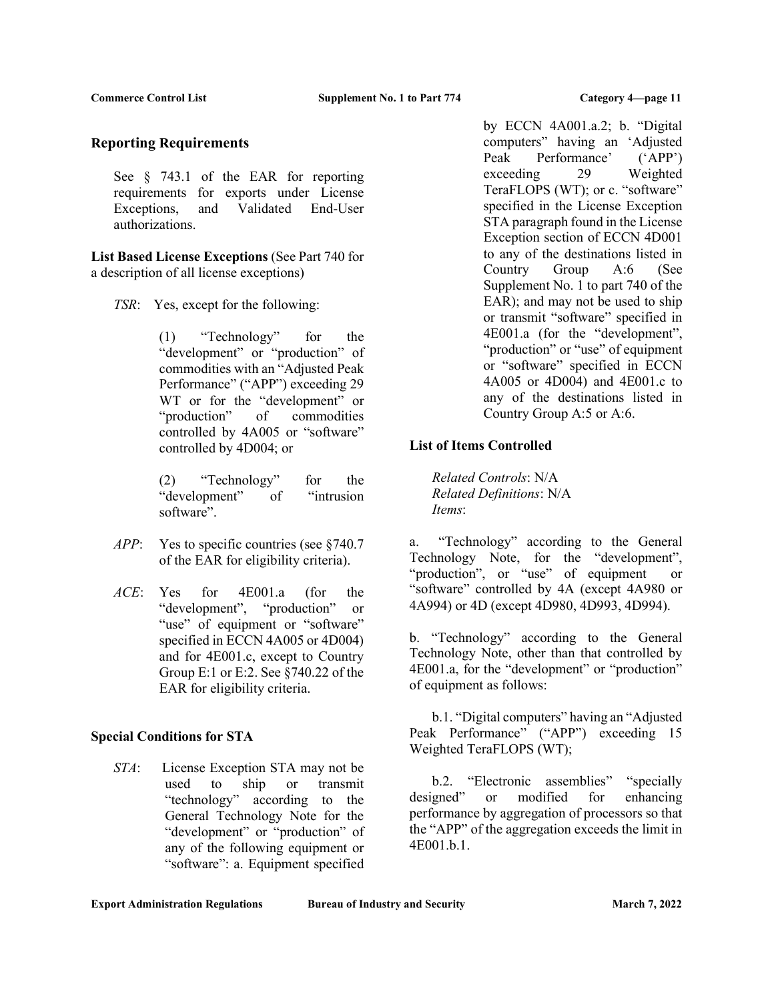## Reporting Requirements

See § 743.1 of the EAR for reporting requirements for exports under License Exceptions, and Validated End-User authorizations.

List Based License Exceptions (See Part 740 for a description of all license exceptions)

TSR: Yes, except for the following:

(1) "Technology" for the "development" or "production" of commodities with an "Adjusted Peak Performance" ("APP") exceeding 29 WT or for the "development" or "production" of commodities controlled by 4A005 or "software" controlled by 4D004; or

(2) "Technology" for the "development" of "intrusion software".

- APP: Yes to specific countries (see §740.7) of the EAR for eligibility criteria).
- ACE: Yes for 4E001.a (for the "development", "production" or "use" of equipment or "software" specified in ECCN 4A005 or 4D004) and for 4E001.c, except to Country Group E:1 or E:2. See §740.22 of the EAR for eligibility criteria.

# Special Conditions for STA

STA: License Exception STA may not be used to ship or transmit "technology" according to the General Technology Note for the "development" or "production" of any of the following equipment or "software": a. Equipment specified by ECCN 4A001.a.2; b. "Digital computers" having an 'Adjusted Peak Performance' ('APP') exceeding 29 Weighted TeraFLOPS (WT); or c. "software" specified in the License Exception STA paragraph found in the License Exception section of ECCN 4D001 to any of the destinations listed in Country Group A:6 (See Supplement No. 1 to part 740 of the EAR); and may not be used to ship or transmit "software" specified in 4E001.a (for the "development", "production" or "use" of equipment or "software" specified in ECCN 4A005 or 4D004) and 4E001.c to any of the destinations listed in Country Group A:5 or A:6.

# List of Items Controlled

Related Controls: N/A Related Definitions: N/A Items:

a. "Technology" according to the General Technology Note, for the "development", "production", or "use" of equipment or "software" controlled by 4A (except 4A980 or 4A994) or 4D (except 4D980, 4D993, 4D994).

b. "Technology" according to the General Technology Note, other than that controlled by 4E001.a, for the "development" or "production" of equipment as follows:

 b.1. "Digital computers" having an "Adjusted Peak Performance" ("APP") exceeding 15 Weighted TeraFLOPS (WT);

 b.2. "Electronic assemblies" "specially designed" or modified for enhancing performance by aggregation of processors so that the "APP" of the aggregation exceeds the limit in 4E001.b.1.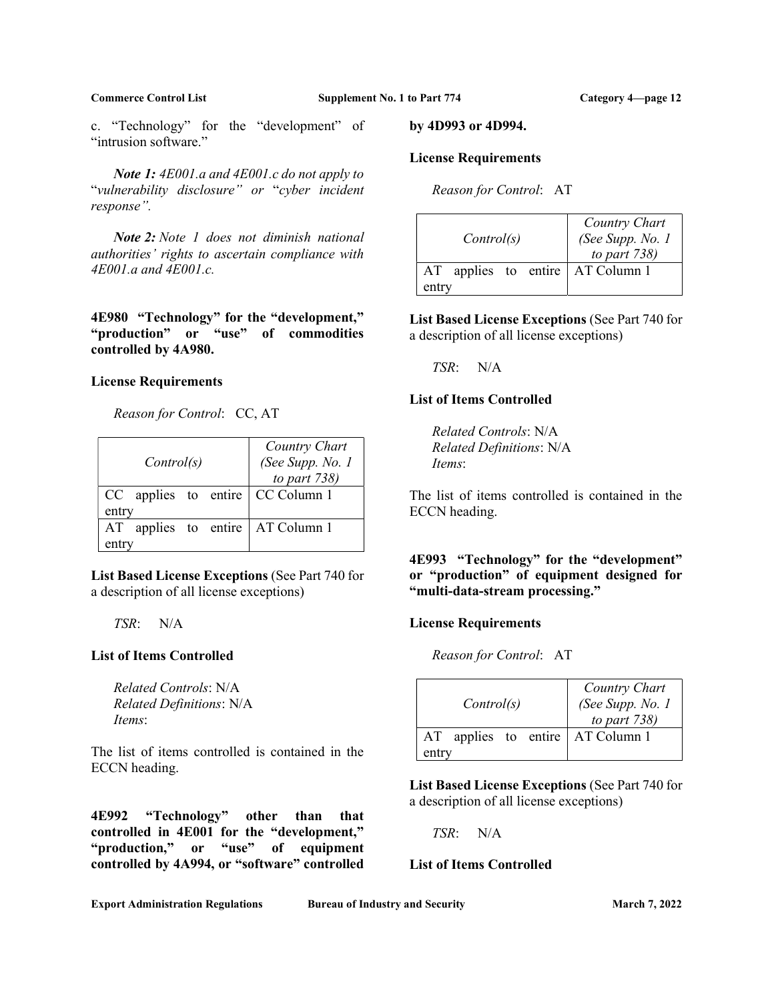c. "Technology" for the "development" of "intrusion software."

Note 1: 4E001.a and 4E001.c do not apply to "vulnerability disclosure" or "cyber incident response".

 Note 2: Note 1 does not diminish national authorities' rights to ascertain compliance with 4E001.a and 4E001.c.

4E980 "Technology" for the "development," "production" or "use" of commodities controlled by 4A980.

#### License Requirements

Reason for Control: CC, AT

|       | Control(s) |  |  | Country Chart<br>(See Supp. No. 1<br>to part $738$ ) |
|-------|------------|--|--|------------------------------------------------------|
|       |            |  |  | $CC$ applies to entire $\vert CC$ Column 1           |
| entry |            |  |  |                                                      |
| AT    |            |  |  | applies to entire $AT$ Column 1                      |
|       |            |  |  |                                                      |

List Based License Exceptions (See Part 740 for a description of all license exceptions)

TSR: N/A

## List of Items Controlled

Related Controls: N/A Related Definitions: N/A Items:

The list of items controlled is contained in the ECCN heading.

4E992 "Technology" other than that controlled in 4E001 for the "development," "production," or "use" of equipment controlled by 4A994, or "software" controlled by 4D993 or 4D994.

#### License Requirements

Reason for Control: AT

| Control(s)                                     | Country Chart<br>(See Supp. No. 1<br>to part $738$ ) |
|------------------------------------------------|------------------------------------------------------|
| applies to entire $AT$ Column 1<br>AT<br>entry |                                                      |

List Based License Exceptions (See Part 740 for a description of all license exceptions)

TSR: N/A

#### List of Items Controlled

Related Controls: N/A Related Definitions: N/A Items:

The list of items controlled is contained in the ECCN heading.

4E993 "Technology" for the "development" or "production" of equipment designed for "multi-data-stream processing."

#### License Requirements

Reason for Control: AT

| Control(s)                            | Country Chart<br>(See Supp. No. 1<br>to part $738$ ) |
|---------------------------------------|------------------------------------------------------|
| applies to entire   AT Column 1<br>AT |                                                      |
| entry                                 |                                                      |

List Based License Exceptions (See Part 740 for a description of all license exceptions)

TSR: N/A

## List of Items Controlled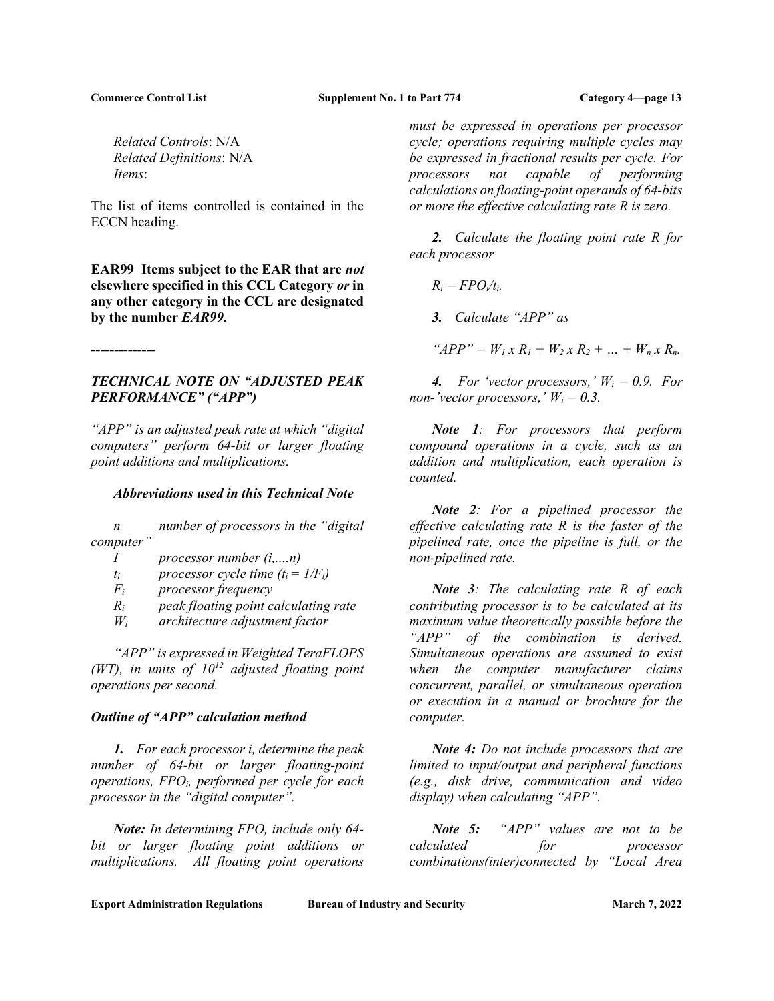--------------

Commerce Control List Supplement No. 1 to Part 774 Category 4—page 13

Related Controls: N/A Related Definitions: N/A Items:

The list of items controlled is contained in the ECCN heading.

EAR99 Items subject to the EAR that are not elsewhere specified in this CCL Category or in any other category in the CCL are designated by the number EAR99.

TECHNICAL NOTE ON "ADJUSTED PEAK PERFORMANCE" ("APP")

"APP" is an adjusted peak rate at which "digital computers" perform 64-bit or larger floating point additions and multiplications.

#### Abbreviations used in this Technical Note

 n number of processors in the "digital computer"

- I processor number (i,....n)
- $t_i$  processor cycle time  $(t_i = 1/F_i)$
- $F_i$  processor frequency
- $R_i$  peak floating point calculating rate
- $W_i$  architecture adjustment factor

 "APP" is expressed in Weighted TeraFLOPS (WT), in units of  $10^{12}$  adjusted floating point operations per second.

#### Outline of "APP" calculation method

1. For each processor i, determine the peak number of 64-bit or larger floating-point operations,  $FPO_i$ , performed per cycle for each processor in the "digital computer".

Note: In determining FPO, include only 64 bit or larger floating point additions or multiplications. All floating point operations

must be expressed in operations per processor cycle; operations requiring multiple cycles may be expressed in fractional results per cycle. For processors not capable of performing calculations on floating-point operands of 64-bits or more the effective calculating rate R is zero.

2. Calculate the floating point rate R for each processor

 $R_i = FPO_i/t_i$ .

3. Calculate "APP" as

" $APP'' = W_1 x R_1 + W_2 x R_2 + ... + W_n x R_n.$ 

4. For 'vector processors,'  $W_i = 0.9$ . For non-'vector processors,'  $W_i = 0.3$ .

Note 1: For processors that perform compound operations in a cycle, such as an addition and multiplication, each operation is counted.

Note 2: For a pipelined processor the effective calculating rate  $R$  is the faster of the pipelined rate, once the pipeline is full, or the non-pipelined rate.

Note 3: The calculating rate R of each contributing processor is to be calculated at its maximum value theoretically possible before the "APP" of the combination is derived. Simultaneous operations are assumed to exist when the computer manufacturer claims concurrent, parallel, or simultaneous operation or execution in a manual or brochure for the computer.

Note 4: Do not include processors that are limited to input/output and peripheral functions (e.g., disk drive, communication and video display) when calculating "APP".

Note 5: "APP" values are not to be calculated for processor combinations(inter)connected by "Local Area